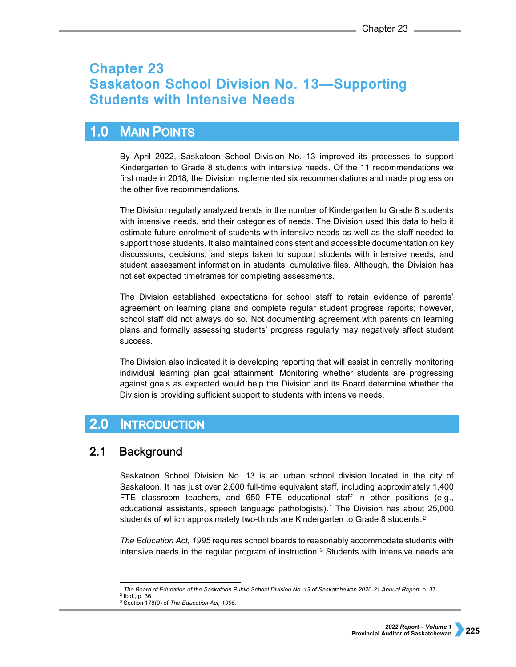# **Chapter 23 Saskatoon School Division No. 13-Supporting Students with Intensive Needs**

## $1.0$ **MAIN POINTS**

By April 2022, Saskatoon School Division No. 13 improved its processes to support Kindergarten to Grade 8 students with intensive needs. Of the 11 recommendations we first made in 2018, the Division implemented six recommendations and made progress on the other five recommendations.

The Division regularly analyzed trends in the number of Kindergarten to Grade 8 students with intensive needs, and their categories of needs. The Division used this data to help it estimate future enrolment of students with intensive needs as well as the staff needed to support those students. It also maintained consistent and accessible documentation on key discussions, decisions, and steps taken to support students with intensive needs, and student assessment information in students' cumulative files. Although, the Division has not set expected timeframes for completing assessments.

The Division established expectations for school staff to retain evidence of parents' agreement on learning plans and complete regular student progress reports; however, school staff did not always do so. Not documenting agreement with parents on learning plans and formally assessing students' progress regularly may negatively affect student success.

The Division also indicated it is developing reporting that will assist in centrally monitoring individual learning plan goal attainment. Monitoring whether students are progressing against goals as expected would help the Division and its Board determine whether the Division is providing sufficient support to students with intensive needs.

## $2.0$ **INTRODUCTION**

### **Background**  $2.1$

Saskatoon School Division No. 13 is an urban school division located in the city of Saskatoon. It has just over 2,600 full-time equivalent staff, including approximately 1,400 FTE classroom teachers, and 650 FTE educational staff in other positions (e.g., educational assistants, speech language pathologists).[1](#page-0-0) The Division has about 25,000 students of which approximately two-thirds are Kindergarten to Grade 8 students.<sup>2</sup>

*The Education Act, 1995* requires school boards to reasonably accommodate students with intensive needs in the regular program of instruction.<sup>[3](#page-0-2)</sup> Students with intensive needs are

<sup>-</sup><sup>1</sup> *The Board of Education of the Saskatoon Public School Division No. 13 of Saskatchewan 2020-21 Annual Report*, p. 37.

<span id="page-0-2"></span><span id="page-0-1"></span><span id="page-0-0"></span><sup>2</sup> Ibid., p. 36.

<sup>3</sup> Section 178(9) of *The Education Act, 1995.*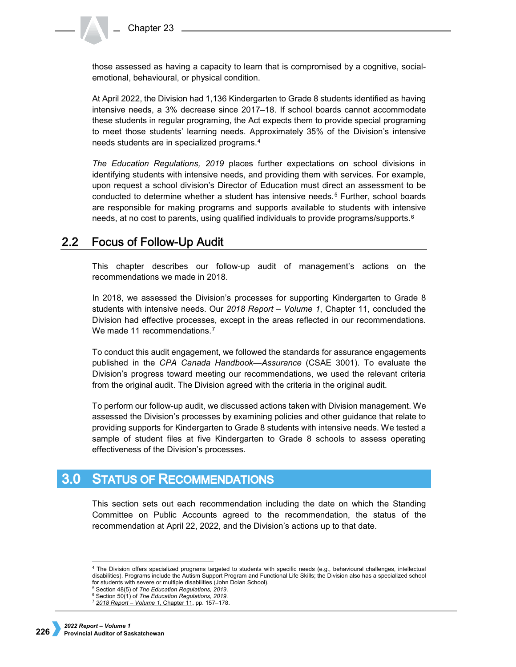those assessed as having a capacity to learn that is compromised by a cognitive, socialemotional, behavioural, or physical condition.

At April 2022, the Division had 1,136 Kindergarten to Grade 8 students identified as having intensive needs, a 3% decrease since 2017–18. If school boards cannot accommodate these students in regular programing, the Act expects them to provide special programing to meet those students' learning needs. Approximately 35% of the Division's intensive needs students are in specialized programs.[4](#page-1-0)

*The Education Regulations, 2019* places further expectations on school divisions in identifying students with intensive needs, and providing them with services. For example, upon request a school division's Director of Education must direct an assessment to be conducted to determine whether a student has intensive needs.[5](#page-1-1) Further, school boards are responsible for making programs and supports available to students with intensive needs, at no cost to parents, using qualified individuals to provide programs/supports.<sup>[6](#page-1-2)</sup>

#### $2.2<sub>2</sub>$ **Focus of Follow-Up Audit**

This chapter describes our follow-up audit of management's actions on the recommendations we made in 2018.

In 2018, we assessed the Division's processes for supporting Kindergarten to Grade 8 students with intensive needs. Our *2018 Report – Volume 1*, Chapter 11, concluded the Division had effective processes, except in the areas reflected in our recommendations. We made 11 recommendations.<sup>[7](#page-1-3)</sup>

To conduct this audit engagement, we followed the standards for assurance engagements published in the *CPA Canada Handbook—Assurance* (CSAE 3001). To evaluate the Division's progress toward meeting our recommendations, we used the relevant criteria from the original audit. The Division agreed with the criteria in the original audit.

To perform our follow-up audit, we discussed actions taken with Division management. We assessed the Division's processes by examining policies and other guidance that relate to providing supports for Kindergarten to Grade 8 students with intensive needs. We tested a sample of student files at five Kindergarten to Grade 8 schools to assess operating effectiveness of the Division's processes.

# **3.0 STATUS OF RECOMMENDATIONS**

This section sets out each recommendation including the date on which the Standing Committee on Public Accounts agreed to the recommendation, the status of the recommendation at April 22, 2022, and the Division's actions up to that date.

<span id="page-1-0"></span> <sup>4</sup> The Division offers specialized programs targeted to students with specific needs (e.g., behavioural challenges, intellectual disabilities). Programs include the Autism Support Program and Functional Life Skills; the Division also has a specialized school

<span id="page-1-1"></span><sup>&</sup>lt;sup>5</sup> Section 48(5) of The Education Regulations, 2019.

<span id="page-1-3"></span><span id="page-1-2"></span><sup>6</sup> Section 50(1) of *The Education Regulations, 2019.*

<sup>7</sup> *[2018 Report – Volume 1](https://auditor.sk.ca/pub/publications/public_reports/2018/11_Saskatoon%20School%20Division%20No.%2013%E2%80%94Supporting%20Students%20with%20Intensive%20Needs.pdf)*, Chapter 11, pp. 157–178.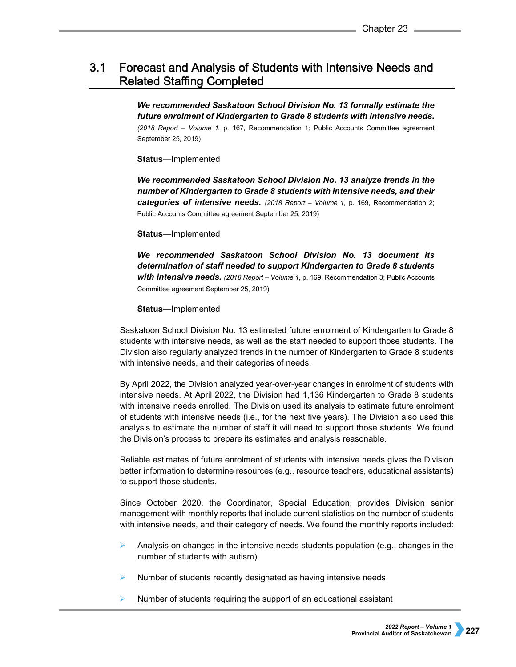## $3.1$ Forecast and Analysis of Students with Intensive Needs and **Related Staffing Completed**

*We recommended Saskatoon School Division No. 13 formally estimate the future enrolment of Kindergarten to Grade 8 students with intensive needs. (2018 Report – Volume 1,* p. 167, Recommendation 1; Public Accounts Committee agreement September 25, 2019)

# **Status**—Implemented

*We recommended Saskatoon School Division No. 13 analyze trends in the number of Kindergarten to Grade 8 students with intensive needs, and their categories of intensive needs. (2018 Report – Volume 1,* p. 169, Recommendation 2; Public Accounts Committee agreement September 25, 2019)

**Status**—Implemented

*We recommended Saskatoon School Division No. 13 document its determination of staff needed to support Kindergarten to Grade 8 students with intensive needs. (2018 Report – Volume 1,* p. 169, Recommendation 3; Public Accounts Committee agreement September 25, 2019)

# **Status**—Implemented

Saskatoon School Division No. 13 estimated future enrolment of Kindergarten to Grade 8 students with intensive needs, as well as the staff needed to support those students. The Division also regularly analyzed trends in the number of Kindergarten to Grade 8 students with intensive needs, and their categories of needs.

By April 2022, the Division analyzed year-over-year changes in enrolment of students with intensive needs. At April 2022, the Division had 1,136 Kindergarten to Grade 8 students with intensive needs enrolled. The Division used its analysis to estimate future enrolment of students with intensive needs (i.e., for the next five years). The Division also used this analysis to estimate the number of staff it will need to support those students. We found the Division's process to prepare its estimates and analysis reasonable.

Reliable estimates of future enrolment of students with intensive needs gives the Division better information to determine resources (e.g., resource teachers, educational assistants) to support those students.

Since October 2020, the Coordinator, Special Education, provides Division senior management with monthly reports that include current statistics on the number of students with intensive needs, and their category of needs. We found the monthly reports included:

- Analysis on changes in the intensive needs students population (e.g., changes in the number of students with autism)
- $\triangleright$  Number of students recently designated as having intensive needs
- $\triangleright$  Number of students requiring the support of an educational assistant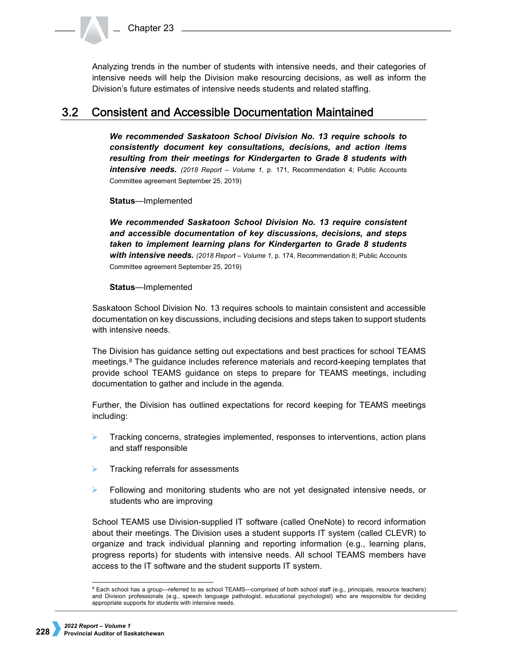Analyzing trends in the number of students with intensive needs, and their categories of intensive needs will help the Division make resourcing decisions, as well as inform the Division's future estimates of intensive needs students and related staffing.

#### **Consistent and Accessible Documentation Maintained**  $3.2<sub>2</sub>$

*We recommended Saskatoon School Division No. 13 require schools to consistently document key consultations, decisions, and action items resulting from their meetings for Kindergarten to Grade 8 students with intensive needs. (2018 Report – Volume 1,* p. 171, Recommendation 4; Public Accounts Committee agreement September 25, 2019)

**Status**—Implemented

*We recommended Saskatoon School Division No. 13 require consistent and accessible documentation of key discussions, decisions, and steps taken to implement learning plans for Kindergarten to Grade 8 students with intensive needs. (2018 Report – Volume 1,* p. 174, Recommendation 8; Public Accounts Committee agreement September 25, 2019)

**Status**—Implemented

Saskatoon School Division No. 13 requires schools to maintain consistent and accessible documentation on key discussions, including decisions and steps taken to support students with intensive needs.

The Division has guidance setting out expectations and best practices for school TEAMS meetings.<sup>[8](#page-3-0)</sup> The guidance includes reference materials and record-keeping templates that provide school TEAMS guidance on steps to prepare for TEAMS meetings, including documentation to gather and include in the agenda.

Further, the Division has outlined expectations for record keeping for TEAMS meetings including:

- Tracking concerns, strategies implemented, responses to interventions, action plans and staff responsible
- Tracking referrals for assessments
- $\triangleright$  Following and monitoring students who are not yet designated intensive needs, or students who are improving

School TEAMS use Division-supplied IT software (called OneNote) to record information about their meetings. The Division uses a student supports IT system (called CLEVR) to organize and track individual planning and reporting information (e.g., learning plans, progress reports) for students with intensive needs. All school TEAMS members have access to the IT software and the student supports IT system.

<span id="page-3-0"></span> <sup>8</sup> Each school has a group—referred to as school TEAMS—comprised of both school staff (e.g., principals, resource teachers) and Division professionals (e.g., speech language pathologist, educational psychologist) who are responsible for deciding appropriate supports for students with intensive needs.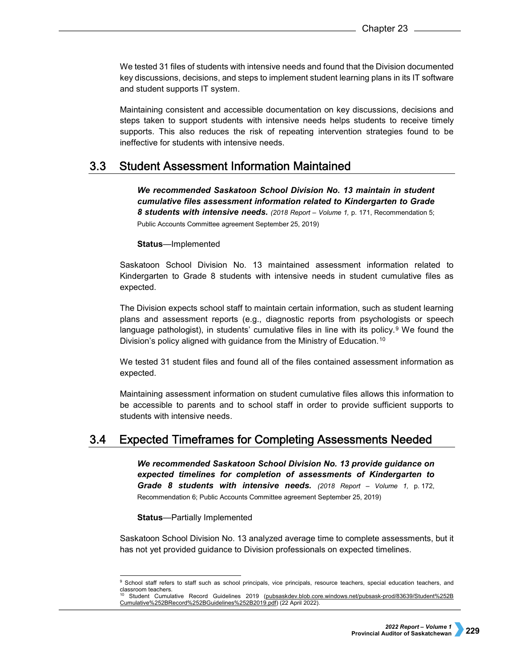We tested 31 files of students with intensive needs and found that the Division documented key discussions, decisions, and steps to implement student learning plans in its IT software and student supports IT system.

Maintaining consistent and accessible documentation on key discussions, decisions and steps taken to support students with intensive needs helps students to receive timely supports. This also reduces the risk of repeating intervention strategies found to be ineffective for students with intensive needs.

#### **Student Assessment Information Maintained**  $3.3$

*We recommended Saskatoon School Division No. 13 maintain in student cumulative files assessment information related to Kindergarten to Grade 8 students with intensive needs. (2018 Report – Volume 1,* p. 171, Recommendation 5; Public Accounts Committee agreement September 25, 2019)

# **Status**—Implemented

Saskatoon School Division No. 13 maintained assessment information related to Kindergarten to Grade 8 students with intensive needs in student cumulative files as expected.

The Division expects school staff to maintain certain information, such as student learning plans and assessment reports (e.g., diagnostic reports from psychologists or speech language pathologist), in students' cumulative files in line with its policy.<sup>[9](#page-4-0)</sup> We found the Division's policy aligned with guidance from the Ministry of Education.<sup>[10](#page-4-1)</sup>

We tested 31 student files and found all of the files contained assessment information as expected.

Maintaining assessment information on student cumulative files allows this information to be accessible to parents and to school staff in order to provide sufficient supports to students with intensive needs.

#### $3.4$ **Expected Timeframes for Completing Assessments Needed**

*We recommended Saskatoon School Division No. 13 provide guidance on expected timelines for completion of assessments of Kindergarten to Grade 8 students with intensive needs. (2018 Report – Volume 1,* p. 172, Recommendation 6; Public Accounts Committee agreement September 25, 2019)

**Status**—Partially Implemented

Saskatoon School Division No. 13 analyzed average time to complete assessments, but it has not yet provided guidance to Division professionals on expected timelines.

<span id="page-4-0"></span> <sup>9</sup> School staff refers to staff such as school principals, vice principals, resource teachers, special education teachers, and classroom teachers.

<span id="page-4-1"></span><sup>10</sup> Student Cumulative Record Guidelines 2019 [\(pubsaskdev.blob.core.windows.net/pubsask-prod/83639/Student%252B](https://pubsaskdev.blob.core.windows.net/pubsask-prod/83639/Student%252B%20Cumulative%252BRecord%252BGuidelines%252B2019.pdf)  [Cumulative%252BRecord%252BGuidelines%252B2019.pdf\)](https://pubsaskdev.blob.core.windows.net/pubsask-prod/83639/Student%252B%20Cumulative%252BRecord%252BGuidelines%252B2019.pdf) (22 April 2022).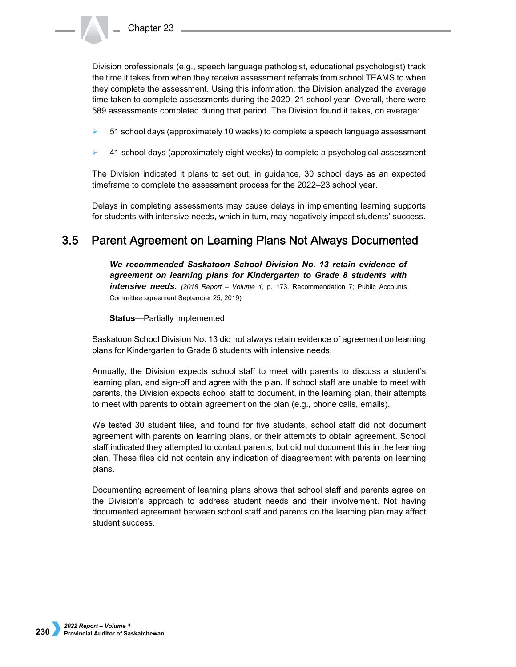Division professionals (e.g., speech language pathologist, educational psychologist) track the time it takes from when they receive assessment referrals from school TEAMS to when they complete the assessment. Using this information, the Division analyzed the average time taken to complete assessments during the 2020–21 school year. Overall, there were 589 assessments completed during that period. The Division found it takes, on average:

- $\triangleright$  51 school days (approximately 10 weeks) to complete a speech language assessment
- 41 school days (approximately eight weeks) to complete a psychological assessment

The Division indicated it plans to set out, in guidance, 30 school days as an expected timeframe to complete the assessment process for the 2022–23 school year.

Delays in completing assessments may cause delays in implementing learning supports for students with intensive needs, which in turn, may negatively impact students' success.

### $3.5$ Parent Agreement on Learning Plans Not Always Documented

*We recommended Saskatoon School Division No. 13 retain evidence of agreement on learning plans for Kindergarten to Grade 8 students with*  **intensive needs.** (2018 Report - Volume 1, p. 173, Recommendation 7; Public Accounts Committee agreement September 25, 2019)

**Status**—Partially Implemented

Saskatoon School Division No. 13 did not always retain evidence of agreement on learning plans for Kindergarten to Grade 8 students with intensive needs.

Annually, the Division expects school staff to meet with parents to discuss a student's learning plan, and sign-off and agree with the plan. If school staff are unable to meet with parents, the Division expects school staff to document, in the learning plan, their attempts to meet with parents to obtain agreement on the plan (e.g., phone calls, emails).

We tested 30 student files, and found for five students, school staff did not document agreement with parents on learning plans, or their attempts to obtain agreement. School staff indicated they attempted to contact parents, but did not document this in the learning plan. These files did not contain any indication of disagreement with parents on learning plans.

Documenting agreement of learning plans shows that school staff and parents agree on the Division's approach to address student needs and their involvement. Not having documented agreement between school staff and parents on the learning plan may affect student success.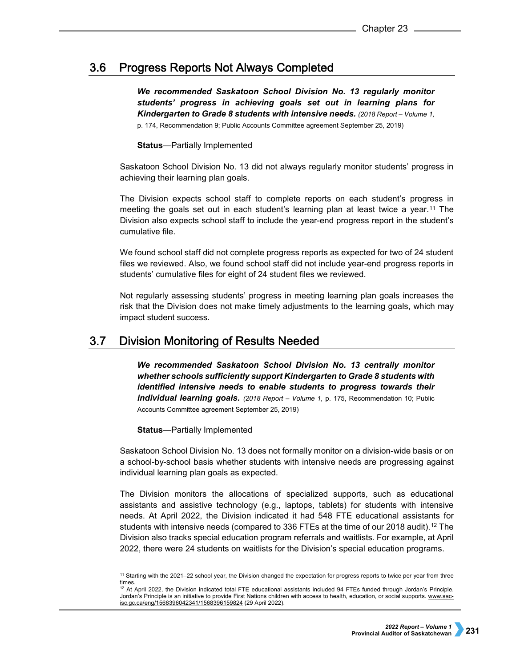#### $3.6$ **Progress Reports Not Always Completed**

*We recommended Saskatoon School Division No. 13 regularly monitor students' progress in achieving goals set out in learning plans for Kindergarten to Grade 8 students with intensive needs. (2018 Report – Volume 1,* 

p. 174, Recommendation 9; Public Accounts Committee agreement September 25, 2019)

# **Status**—Partially Implemented

Saskatoon School Division No. 13 did not always regularly monitor students' progress in achieving their learning plan goals.

The Division expects school staff to complete reports on each student's progress in meeting the goals set out in each student's learning plan at least twice a year.[11](#page-6-0) The Division also expects school staff to include the year-end progress report in the student's cumulative file.

We found school staff did not complete progress reports as expected for two of 24 student files we reviewed. Also, we found school staff did not include year-end progress reports in students' cumulative files for eight of 24 student files we reviewed.

Not regularly assessing students' progress in meeting learning plan goals increases the risk that the Division does not make timely adjustments to the learning goals, which may impact student success.

#### $3.7$ **Division Monitoring of Results Needed**

*We recommended Saskatoon School Division No. 13 centrally monitor whether schools sufficiently support Kindergarten to Grade 8 students with identified intensive needs to enable students to progress towards their individual learning goals. (2018 Report – Volume 1,* p. 175, Recommendation 10; Public Accounts Committee agreement September 25, 2019)

**Status**—Partially Implemented

Saskatoon School Division No. 13 does not formally monitor on a division-wide basis or on a school-by-school basis whether students with intensive needs are progressing against individual learning plan goals as expected.

The Division monitors the allocations of specialized supports, such as educational assistants and assistive technology (e.g., laptops, tablets) for students with intensive needs. At April 2022, the Division indicated it had 548 FTE educational assistants for students with intensive needs (compared to 336 FTEs at the time of our 2018 audit).<sup>[12](#page-6-1)</sup> The Division also tracks special education program referrals and waitlists. For example, at April 2022, there were 24 students on waitlists for the Division's special education programs.

 <sup>11</sup> Starting with the 2021–22 school year, the Division changed the expectation for progress reports to twice per year from three

<span id="page-6-1"></span><span id="page-6-0"></span>times.<br><sup>12</sup> At April 2022, the Division indicated total FTE educational assistants included 94 FTEs funded through Jordan's Principle. Jordan's Principle is an initiative to provide First Nations children with access to health, education, or social supports[. www.sac](https://www.sac-isc.gc.ca/eng/1568396042341/1568396159824)[isc.gc.ca/eng/1568396042341/1568396159824](https://www.sac-isc.gc.ca/eng/1568396042341/1568396159824) (29 April 2022).